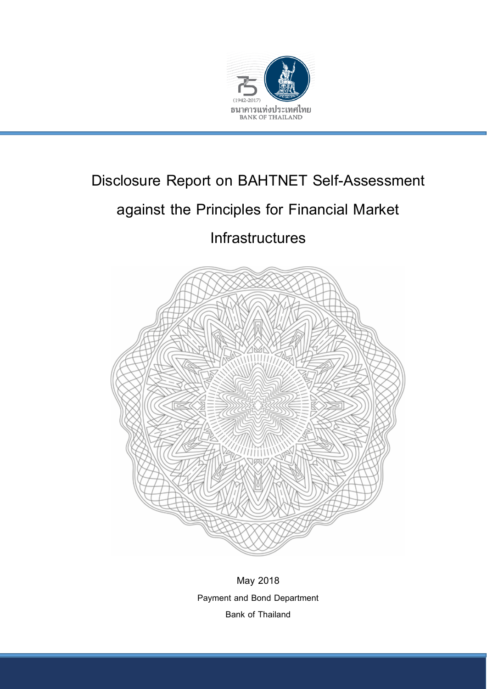

# Disclosure Report on BAHTNET Self-Assessment

# against the Principles for Financial Market

**Infrastructures** 



May 2018 Payment and Bond Department Bank of Thailand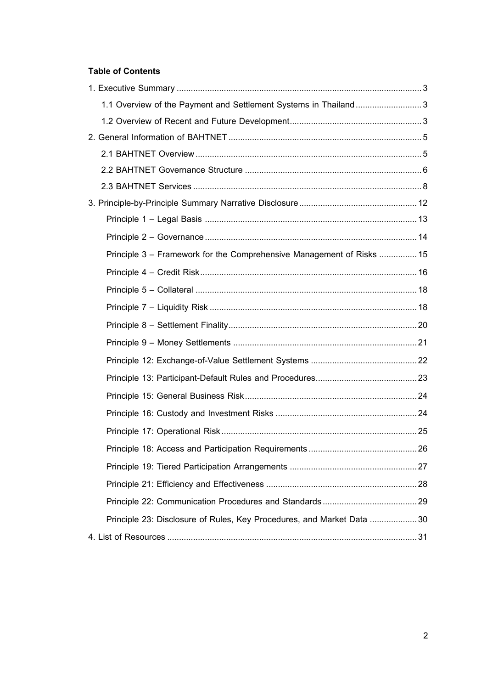# **Table of Contents**

| 1.1 Overview of the Payment and Settlement Systems in Thailand3       |  |
|-----------------------------------------------------------------------|--|
|                                                                       |  |
|                                                                       |  |
|                                                                       |  |
|                                                                       |  |
|                                                                       |  |
|                                                                       |  |
|                                                                       |  |
|                                                                       |  |
| Principle 3 – Framework for the Comprehensive Management of Risks  15 |  |
|                                                                       |  |
|                                                                       |  |
|                                                                       |  |
|                                                                       |  |
|                                                                       |  |
|                                                                       |  |
|                                                                       |  |
|                                                                       |  |
|                                                                       |  |
|                                                                       |  |
|                                                                       |  |
|                                                                       |  |
|                                                                       |  |
|                                                                       |  |
| Principle 23: Disclosure of Rules, Key Procedures, and Market Data 30 |  |
|                                                                       |  |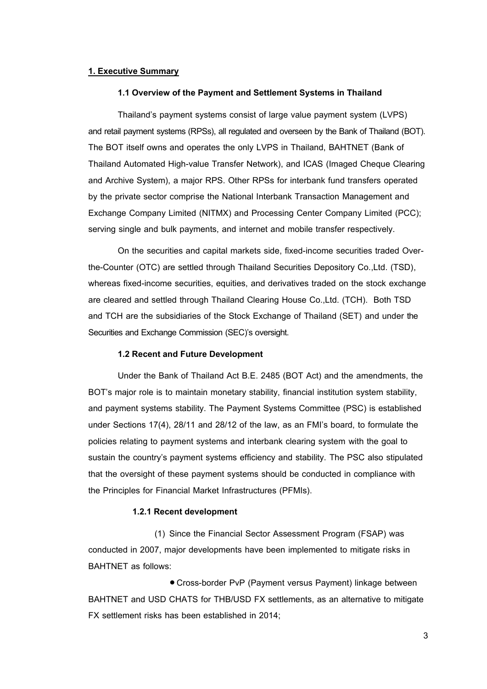## <span id="page-2-1"></span><span id="page-2-0"></span>**1. Executive Summary**

#### **1.1 Overview of the Payment and Settlement Systems in Thailand**

Thailand's payment systems consist of large value payment system (LVPS) and retail payment systems (RPSs), all regulated and overseen by the Bank of Thailand (BOT). The BOT itself owns and operates the only LVPS in Thailand, BAHTNET (Bank of Thailand Automated High-value Transfer Network), and ICAS (Imaged Cheque Clearing and Archive System), a major RPS. Other RPSs for interbank fund transfers operated by the private sector comprise the National Interbank Transaction Management and Exchange Company Limited (NITMX) and Processing Center Company Limited (PCC); serving single and bulk payments, and internet and mobile transfer respectively.

On the securities and capital markets side, fixed-income securities traded Overthe-Counter (OTC) are settled through Thailand Securities Depository Co.,Ltd. (TSD), whereas fixed-income securities, equities, and derivatives traded on the stock exchange are cleared and settled through Thailand Clearing House Co.,Ltd. (TCH). Both TSD and TCH are the subsidiaries of the Stock Exchange of Thailand (SET) and under the Securities and Exchange Commission (SEC)'s oversight.

## **1.2 Recent and Future Development**

<span id="page-2-2"></span>Under the Bank of Thailand Act B.E. 2485 (BOT Act) and the amendments, the BOT's major role is to maintain monetary stability, financial institution system stability, and payment systems stability. The Payment Systems Committee (PSC) is established under Sections 17(4), 28/11 and 28/12 of the law, as an FMI's board, to formulate the policies relating to payment systems and interbank clearing system with the goal to sustain the country's payment systems efficiency and stability. The PSC also stipulated that the oversight of these payment systems should be conducted in compliance with the Principles for Financial Market Infrastructures (PFMIs).

#### **1.2.1 Recent development**

(1) Since the Financial Sector Assessment Program (FSAP) was conducted in 2007, major developments have been implemented to mitigate risks in BAHTNET as follows:

 Cross-border PvP (Payment versus Payment) linkage between BAHTNET and USD CHATS for THB/USD FX settlements, as an alternative to mitigate FX settlement risks has been established in 2014;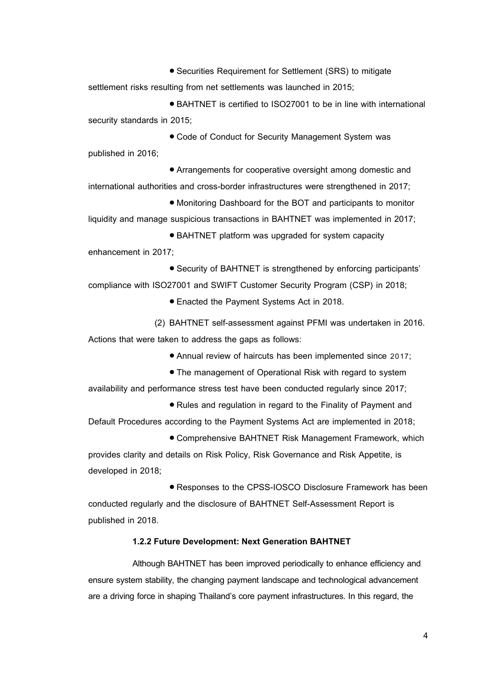Securities Requirement for Settlement (SRS) to mitigate settlement risks resulting from net settlements was launched in 2015;

● BAHTNET is certified to ISO27001 to be in line with international security standards in 2015;

 Code of Conduct for Security Management System was published in 2016;

 Arrangements for cooperative oversight among domestic and international authorities and cross-border infrastructures were strengthened in 2017;

 Monitoring Dashboard for the BOT and participants to monitor liquidity and manage suspicious transactions in BAHTNET was implemented in 2017;

 BAHTNET platform was upgraded for system capacity enhancement in 2017;

 Security of BAHTNET is strengthened by enforcing participants' compliance with ISO27001 and SWIFT Customer Security Program (CSP) in 2018;

Enacted the Payment Systems Act in 2018.

(2) BAHTNET self-assessment against PFMI was undertaken in 2016. Actions that were taken to address the gaps as follows:

Annual review of haircuts has been implemented since 2017;

The management of Operational Risk with regard to system

availability and performance stress test have been conducted regularly since 2017;

 Rules and regulation in regard to the Finality of Payment and Default Procedures according to the Payment Systems Act are implemented in 2018;

 Comprehensive BAHTNET Risk Management Framework, which provides clarity and details on Risk Policy, Risk Governance and Risk Appetite, is developed in 2018;

 Responses to the CPSS-IOSCO Disclosure Framework has been conducted regularly and the disclosure of BAHTNET Self-Assessment Report is published in 2018.

## **1.2.2 Future Development: Next Generation BAHTNET**

Although BAHTNET has been improved periodically to enhance efficiency and ensure system stability, the changing payment landscape and technological advancement are a driving force in shaping Thailand's core payment infrastructures. In this regard, the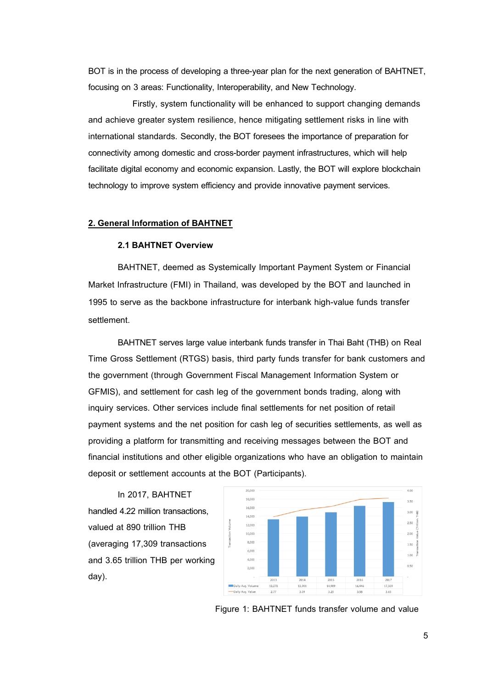BOT is in the process of developing a three-year plan for the next generation of BAHTNET, focusing on 3 areas: Functionality, Interoperability, and New Technology.

Firstly, system functionality will be enhanced to support changing demands and achieve greater system resilience, hence mitigating settlement risks in line with international standards. Secondly, the BOT foresees the importance of preparation for connectivity among domestic and cross-border payment infrastructures, which will help facilitate digital economy and economic expansion. Lastly, the BOT will explore blockchain technology to improve system efficiency and provide innovative payment services.

#### <span id="page-4-1"></span><span id="page-4-0"></span>**2. General Information of BAHTNET**

### **2.1 BAHTNET Overview**

BAHTNET, deemed as Systemically Important Payment System or Financial Market Infrastructure (FMI) in Thailand, was developed by the BOT and launched in 1995 to serve as the backbone infrastructure for interbank high-value funds transfer settlement.

BAHTNET serves large value interbank funds transfer in Thai Baht (THB) on Real Time Gross Settlement (RTGS) basis, third party funds transfer for bank customers and the government (through Government Fiscal Management Information System or GFMIS), and settlement for cash leg of the government bonds trading, along with inquiry services. Other services include final settlements for net position of retail payment systems and the net position for cash leg of securities settlements, as well as providing a platform for transmitting and receiving messages between the BOT and financial institutions and other eligible organizations who have an obligation to maintain deposit or settlement accounts at the BOT (Participants).

In 2017, BAHTNET handled 4.22 million transactions, valued at 890 trillion THB (averaging 17,309 transactions and 3.65 trillion THB per working day).



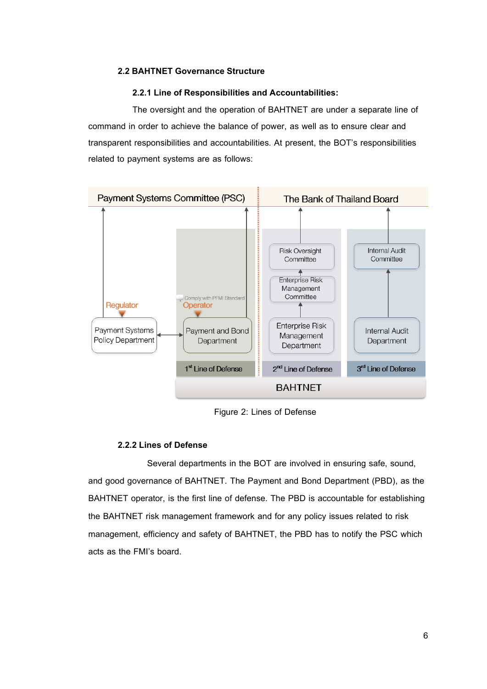## <span id="page-5-0"></span>**2.2 BAHTNET Governance Structure**

#### **2.2.1 Line of Responsibilities and Accountabilities:**

The oversight and the operation of BAHTNET are under a separate line of command in order to achieve the balance of power, as well as to ensure clear and transparent responsibilities and accountabilities. At present, the BOT's responsibilities related to payment systems are as follows:



Figure 2: Lines of Defense

# **2.2.2 Lines of Defense**

Several departments in the BOT are involved in ensuring safe, sound, and good governance of BAHTNET. The Payment and Bond Department (PBD), as the BAHTNET operator, is the first line of defense. The PBD is accountable for establishing the BAHTNET risk management framework and for any policy issues related to risk management, efficiency and safety of BAHTNET, the PBD has to notify the PSC which acts as the FMI's board.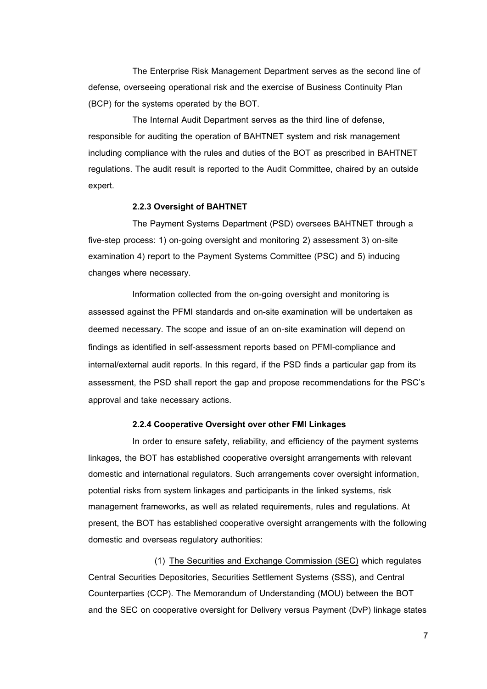The Enterprise Risk Management Department serves as the second line of defense, overseeing operational risk and the exercise of Business Continuity Plan (BCP) for the systems operated by the BOT.

The Internal Audit Department serves as the third line of defense, responsible for auditing the operation of BAHTNET system and risk management including compliance with the rules and duties of the BOT as prescribed in BAHTNET regulations. The audit result is reported to the Audit Committee, chaired by an outside expert.

#### **2.2.3 Oversight of BAHTNET**

The Payment Systems Department (PSD) oversees BAHTNET through a five-step process: 1) on-going oversight and monitoring 2) assessment 3) on-site examination 4) report to the Payment Systems Committee (PSC) and 5) inducing changes where necessary.

Information collected from the on-going oversight and monitoring is assessed against the PFMI standards and on-site examination will be undertaken as deemed necessary. The scope and issue of an on-site examination will depend on findings as identified in self-assessment reports based on PFMI-compliance and internal/external audit reports. In this regard, if the PSD finds a particular gap from its assessment, the PSD shall report the gap and propose recommendations for the PSC's approval and take necessary actions.

#### **2.2.4 Cooperative Oversight over other FMI Linkages**

In order to ensure safety, reliability, and efficiency of the payment systems linkages, the BOT has established cooperative oversight arrangements with relevant domestic and international regulators. Such arrangements cover oversight information, potential risks from system linkages and participants in the linked systems, risk management frameworks, as well as related requirements, rules and regulations. At present, the BOT has established cooperative oversight arrangements with the following domestic and overseas regulatory authorities:

(1) The Securities and Exchange Commission (SEC) which regulates Central Securities Depositories, Securities Settlement Systems (SSS), and Central Counterparties (CCP). The Memorandum of Understanding (MOU) between the BOT and the SEC on cooperative oversight for Delivery versus Payment (DvP) linkage states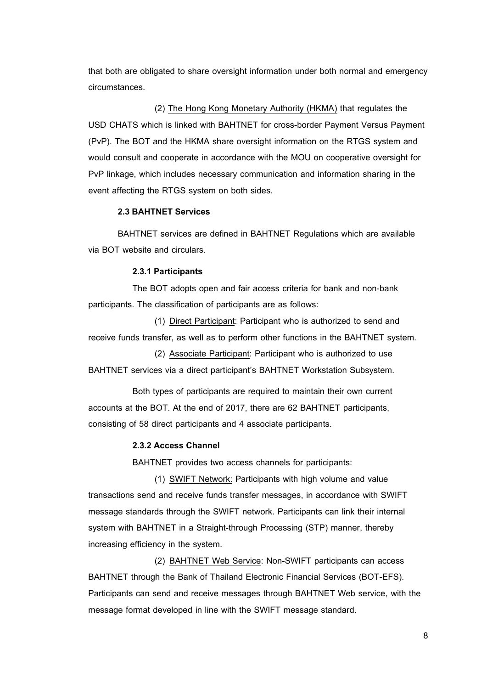that both are obligated to share oversight information under both normal and emergency circumstances.

(2) The Hong Kong Monetary Authority (HKMA) that regulates the USD CHATS which is linked with BAHTNET for cross-border Payment Versus Payment (PvP). The BOT and the HKMA share oversight information on the RTGS system and would consult and cooperate in accordance with the MOU on cooperative oversight for PvP linkage, which includes necessary communication and information sharing in the event affecting the RTGS system on both sides.

## **2.3 BAHTNET Services**

<span id="page-7-0"></span>BAHTNET services are defined in BAHTNET Regulations which are available via BOT website and circulars.

#### **2.3.1 Participants**

The BOT adopts open and fair access criteria for bank and non-bank participants. The classification of participants are as follows:

(1) Direct Participant: Participant who is authorized to send and receive funds transfer, as well as to perform other functions in the BAHTNET system.

(2) Associate Participant: Participant who is authorized to use BAHTNET services via a direct participant's BAHTNET Workstation Subsystem.

Both types of participants are required to maintain their own current accounts at the BOT. At the end of 2017, there are 62 BAHTNET participants, consisting of 58 direct participants and 4 associate participants.

#### **2.3.2 Access Channel**

BAHTNET provides two access channels for participants:

(1) SWIFT Network: Participants with high volume and value transactions send and receive funds transfer messages, in accordance with SWIFT message standards through the SWIFT network. Participants can link their internal system with BAHTNET in a Straight-through Processing (STP) manner, thereby increasing efficiency in the system.

(2) BAHTNET Web Service: Non-SWIFT participants can access BAHTNET through the Bank of Thailand Electronic Financial Services (BOT-EFS). Participants can send and receive messages through BAHTNET Web service, with the message format developed in line with the SWIFT message standard.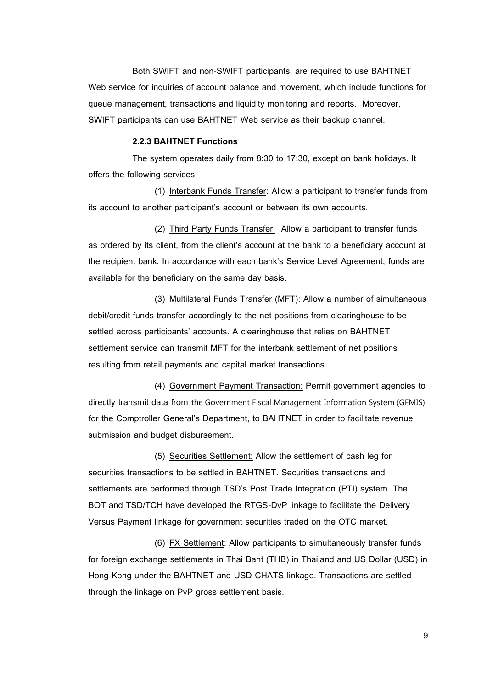Both SWIFT and non-SWIFT participants, are required to use BAHTNET Web service for inquiries of account balance and movement, which include functions for queue management, transactions and liquidity monitoring and reports. Moreover, SWIFT participants can use BAHTNET Web service as their backup channel.

#### **2.2.3 BAHTNET Functions**

The system operates daily from 8:30 to 17:30, except on bank holidays. It offers the following services:

(1) Interbank Funds Transfer: Allow a participant to transfer funds from its account to another participant's account or between its own accounts.

(2) Third Party Funds Transfer: Allow a participant to transfer funds as ordered by its client, from the client's account at the bank to a beneficiary account at the recipient bank. In accordance with each bank's Service Level Agreement, funds are available for the beneficiary on the same day basis.

(3) Multilateral Funds Transfer (MFT): Allow a number of simultaneous debit/credit funds transfer accordingly to the net positions from clearinghouse to be settled across participants' accounts. A clearinghouse that relies on BAHTNET settlement service can transmit MFT for the interbank settlement of net positions resulting from retail payments and capital market transactions.

(4) Government Payment Transaction: Permit government agencies to directly transmit data from the Government Fiscal Management Information System (GFMIS) for the Comptroller General's Department, to BAHTNET in order to facilitate revenue submission and budget disbursement.

(5) Securities Settlement: Allow the settlement of cash leg for securities transactions to be settled in BAHTNET. Securities transactions and settlements are performed through TSD's Post Trade Integration (PTI) system. The BOT and TSD/TCH have developed the RTGS-DvP linkage to facilitate the Delivery Versus Payment linkage for government securities traded on the OTC market.

(6) FX Settlement: Allow participants to simultaneously transfer funds for foreign exchange settlements in Thai Baht (THB) in Thailand and US Dollar (USD) in Hong Kong under the BAHTNET and USD CHATS linkage. Transactions are settled through the linkage on PvP gross settlement basis.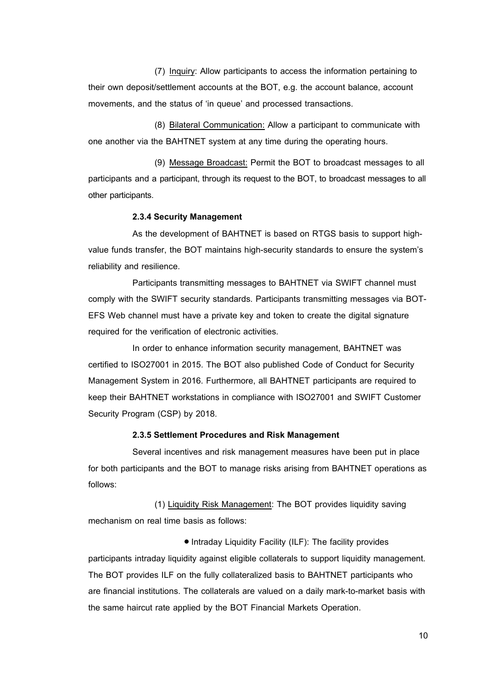(7) Inquiry: Allow participants to access the information pertaining to their own deposit/settlement accounts at the BOT, e.g. the account balance, account movements, and the status of 'in queue' and processed transactions.

(8) Bilateral Communication: Allow a participant to communicate with one another via the BAHTNET system at any time during the operating hours.

(9) Message Broadcast: Permit the BOT to broadcast messages to all participants and a participant, through its request to the BOT, to broadcast messages to all other participants.

#### **2.3.4 Security Management**

As the development of BAHTNET is based on RTGS basis to support highvalue funds transfer, the BOT maintains high-security standards to ensure the system's reliability and resilience.

Participants transmitting messages to BAHTNET via SWIFT channel must comply with the SWIFT security standards. Participants transmitting messages via BOT-EFS Web channel must have a private key and token to create the digital signature required for the verification of electronic activities.

In order to enhance information security management, BAHTNET was certified to ISO27001 in 2015. The BOT also published Code of Conduct for Security Management System in 2016. Furthermore, all BAHTNET participants are required to keep their BAHTNET workstations in compliance with ISO27001 and SWIFT Customer Security Program (CSP) by 2018.

## **2.3.5 Settlement Procedures and Risk Management**

Several incentives and risk management measures have been put in place for both participants and the BOT to manage risks arising from BAHTNET operations as follows:

(1) Liquidity Risk Management: The BOT provides liquidity saving mechanism on real time basis as follows:

 Intraday Liquidity Facility (ILF): The facility provides participants intraday liquidity against eligible collaterals to support liquidity management. The BOT provides ILF on the fully collateralized basis to BAHTNET participants who are financial institutions. The collaterals are valued on a daily mark-to-market basis with the same haircut rate applied by the BOT Financial Markets Operation.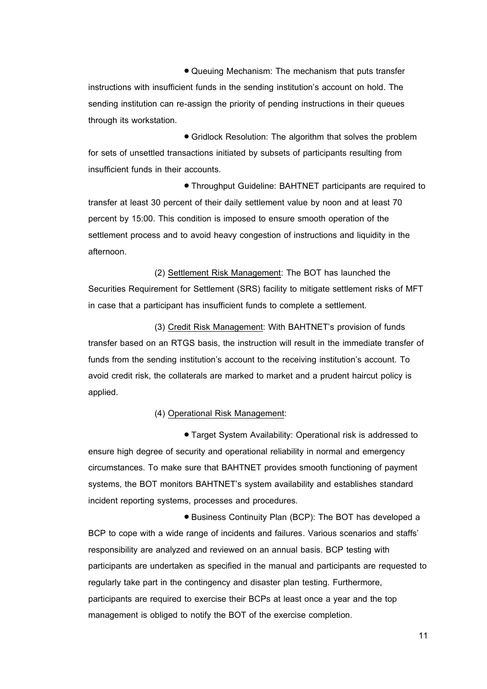Queuing Mechanism: The mechanism that puts transfer instructions with insufficient funds in the sending institution's account on hold. The sending institution can re-assign the priority of pending instructions in their queues through its workstation.

 Gridlock Resolution: The algorithm that solves the problem for sets of unsettled transactions initiated by subsets of participants resulting from insufficient funds in their accounts.

 Throughput Guideline: BAHTNET participants are required to transfer at least 30 percent of their daily settlement value by noon and at least 70 percent by 15:00. This condition is imposed to ensure smooth operation of the settlement process and to avoid heavy congestion of instructions and liquidity in the afternoon.

(2) Settlement Risk Management: The BOT has launched the Securities Requirement for Settlement (SRS) facility to mitigate settlement risks of MFT in case that a participant has insufficient funds to complete a settlement.

(3) Credit Risk Management: With BAHTNET's provision of funds transfer based on an RTGS basis, the instruction will result in the immediate transfer of funds from the sending institution's account to the receiving institution's account. To avoid credit risk, the collaterals are marked to market and a prudent haircut policy is applied.

(4) Operational Risk Management:

 Target System Availability: Operational risk is addressed to ensure high degree of security and operational reliability in normal and emergency circumstances. To make sure that BAHTNET provides smooth functioning of payment systems, the BOT monitors BAHTNET's system availability and establishes standard incident reporting systems, processes and procedures.

 Business Continuity Plan (BCP): The BOT has developed a BCP to cope with a wide range of incidents and failures. Various scenarios and staffs' responsibility are analyzed and reviewed on an annual basis. BCP testing with participants are undertaken as specified in the manual and participants are requested to regularly take part in the contingency and disaster plan testing. Furthermore, participants are required to exercise their BCPs at least once a year and the top management is obliged to notify the BOT of the exercise completion.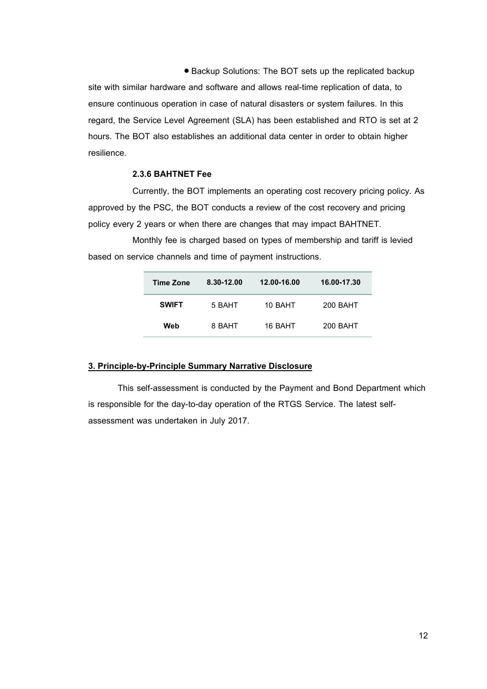Backup Solutions: The BOT sets up the replicated backup site with similar hardware and software and allows real-time replication of data, to ensure continuous operation in case of natural disasters or system failures. In this regard, the Service Level Agreement (SLA) has been established and RTO is set at 2 hours. The BOT also establishes an additional data center in order to obtain higher resilience.

# **2.3.6 BAHTNET Fee**

Currently, the BOT implements an operating cost recovery pricing policy. As approved by the PSC, the BOT conducts a review of the cost recovery and pricing policy every 2 years or when there are changes that may impact BAHTNET.

Monthly fee is charged based on types of membership and tariff is levied based on service channels and time of payment instructions.

<span id="page-11-0"></span>

| Time Zone    | 8.30-12.00 | 12.00-16.00 | 16.00-17.30 |
|--------------|------------|-------------|-------------|
| <b>SWIFT</b> | 5 BAHT     | 10 BAHT     | 200 BAHT    |
| Web          | 8 BAHT     | 16 BAHT     | 200 BAHT    |

# **3. Principle-by-Principle Summary Narrative Disclosure**

This self-assessment is conducted by the Payment and Bond Department which is responsible for the day-to-day operation of the RTGS Service. The latest selfassessment was undertaken in July 2017.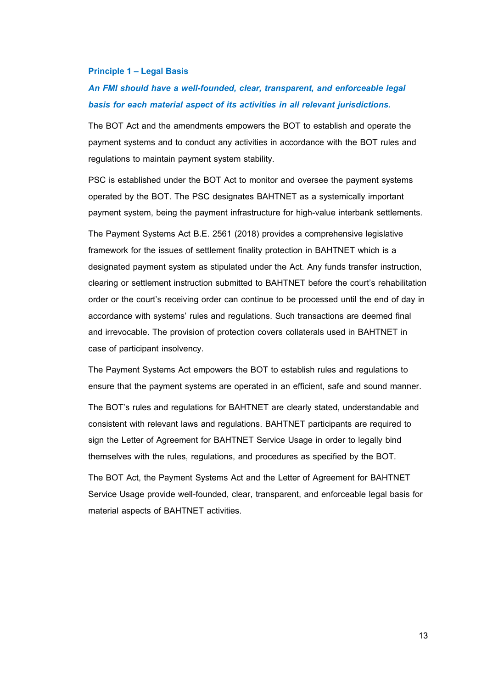#### <span id="page-12-0"></span>**Principle 1 –Legal Basis**

# *An FMI should have a well-founded, clear, transparent, and enforceable legal basis for each material aspect of its activities in all relevant jurisdictions.*

The BOT Act and the amendments empowers the BOT to establish and operate the payment systems and to conduct any activities in accordance with the BOT rules and regulations to maintain payment system stability.

PSC is established under the BOT Act to monitor and oversee the payment systems operated by the BOT. The PSC designates BAHTNET as a systemically important payment system, being the payment infrastructure for high-value interbank settlements.

The Payment Systems Act B.E. 2561 (2018) provides a comprehensive legislative framework for the issues of settlement finality protection in BAHTNET which is a designated payment system as stipulated under the Act. Any funds transfer instruction, clearing or settlement instruction submitted to BAHTNET before the court's rehabilitation order or the court's receiving order can continue to be processed until the end of day in accordance with systems' rules and regulations. Such transactions are deemed final and irrevocable. The provision of protection covers collaterals used in BAHTNET in case of participant insolvency.

The Payment Systems Act empowers the BOT to establish rules and regulations to ensure that the payment systems are operated in an efficient, safe and sound manner.

The BOT's rules and regulations for BAHTNET are clearly stated, understandable and consistent with relevant laws and regulations. BAHTNET participants are required to sign the Letter of Agreement for BAHTNET Service Usage in order to legally bind themselves with the rules, regulations, and procedures as specified by the BOT.

<span id="page-12-1"></span>The BOT Act, the Payment Systems Act and the Letter of Agreement for BAHTNET Service Usage provide well-founded, clear, transparent, and enforceable legal basis for material aspects of BAHTNET activities.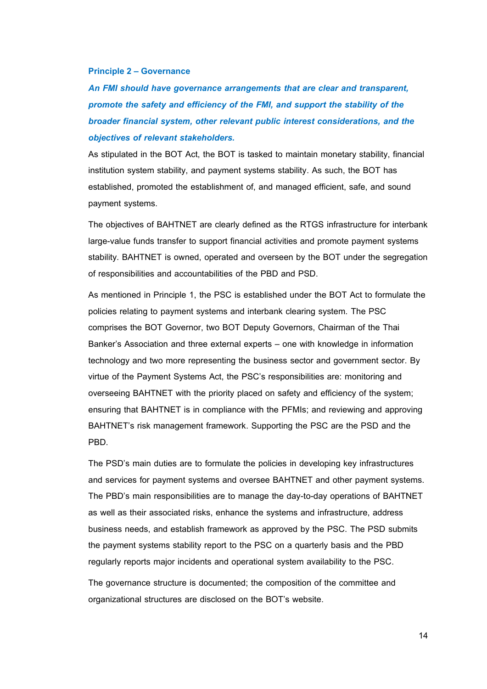#### **Principle 2 – Governance**

*An FMI should have governance arrangements that are clear and transparent, promote the safety and efficiency of the FMI, and support the stability of the broader financial system, other relevant public interest considerations, and the objectives of relevant stakeholders.*

As stipulated in the BOT Act, the BOT is tasked to maintain monetary stability, financial institution system stability, and payment systems stability. As such, the BOT has established, promoted the establishment of, and managed efficient, safe, and sound payment systems.

The objectives of BAHTNET are clearly defined as the RTGS infrastructure for interbank large-value funds transfer to support financial activities and promote payment systems stability. BAHTNET is owned, operated and overseen by the BOT under the segregation of responsibilities and accountabilities of the PBD and PSD.

As mentioned in Principle 1, the PSC is established under the BOT Act to formulate the policies relating to payment systems and interbank clearing system. The PSC comprises the BOT Governor, two BOT Deputy Governors, Chairman of the Thai Banker's Association and three external experts – one with knowledge in information technology and two more representing the business sector and government sector. By virtue of the Payment Systems Act, the PSC's responsibilities are: monitoring and overseeing BAHTNET with the priority placed on safety and efficiency of the system; ensuring that BAHTNET is in compliance with the PFMIs; and reviewing and approving BAHTNET's risk management framework. Supporting the PSC are the PSD and the PBD.

The PSD's main duties are to formulate the policies in developing key infrastructures and services for payment systems and oversee BAHTNET and other payment systems. The PBD's main responsibilities are to manage the day-to-day operations of BAHTNET as well as their associated risks, enhance the systems and infrastructure, address business needs, and establish framework as approved by the PSC. The PSD submits the payment systems stability report to the PSC on a quarterly basis and the PBD regularly reports major incidents and operational system availability to the PSC.

The governance structure is documented; the composition of the committee and organizational structures are disclosed on the BOT's website.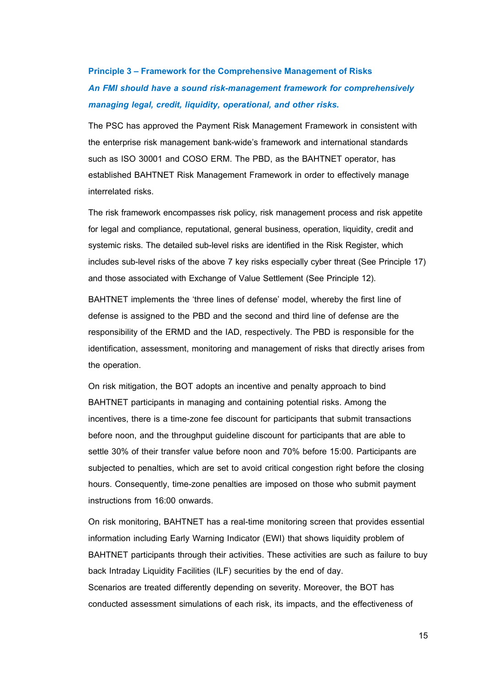# <span id="page-14-0"></span>**Principle 3 –Framework for the Comprehensive Management of Risks**  *An FMI should have a sound risk-management framework for comprehensively managing legal, credit, liquidity, operational, and other risks.*

The PSC has approved the Payment Risk Management Framework in consistent with the enterprise risk management bank-wide's framework and international standards such as ISO 30001 and COSO ERM. The PBD, as the BAHTNET operator, has established BAHTNET Risk Management Framework in order to effectively manage interrelated risks.

The risk framework encompasses risk policy, risk management process and risk appetite for legal and compliance, reputational, general business, operation, liquidity, credit and systemic risks. The detailed sub-level risks are identified in the Risk Register, which includes sub-level risks of the above 7 key risks especially cyber threat (See Principle 17) and those associated with Exchange of Value Settlement (See Principle 12).

BAHTNET implements the 'three lines of defense' model, whereby the first line of defense is assigned to the PBD and the second and third line of defense are the responsibility of the ERMD and the IAD, respectively. The PBD is responsible for the identification, assessment, monitoring and management of risks that directly arises from the operation.

On risk mitigation, the BOT adopts an incentive and penalty approach to bind BAHTNET participants in managing and containing potential risks. Among the incentives, there is a time-zone fee discount for participants that submit transactions before noon, and the throughput guideline discount for participants that are able to settle 30% of their transfer value before noon and 70% before 15:00. Participants are subjected to penalties, which are set to avoid critical congestion right before the closing hours. Consequently, time-zone penalties are imposed on those who submit payment instructions from 16:00 onwards.

On risk monitoring, BAHTNET has a real-time monitoring screen that provides essential information including Early Warning Indicator (EWI) that shows liquidity problem of BAHTNET participants through their activities. These activities are such as failure to buy back Intraday Liquidity Facilities (ILF) securities by the end of day. Scenarios are treated differently depending on severity. Moreover, the BOT has conducted assessment simulations of each risk, its impacts, and the effectiveness of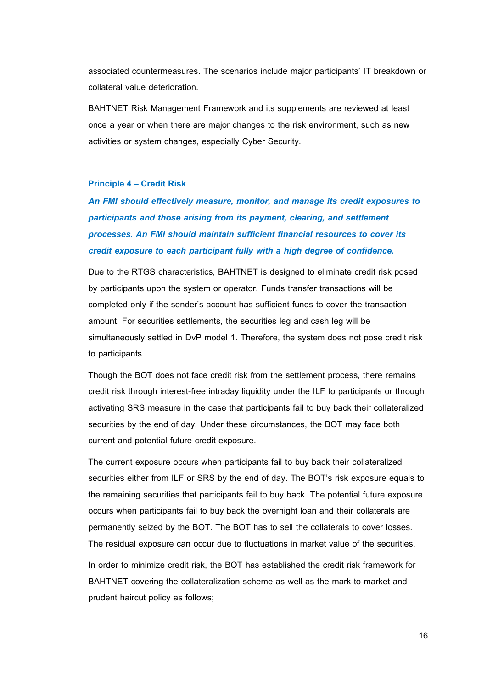associated countermeasures. The scenarios include major participants' IT breakdown or collateral value deterioration.

BAHTNET Risk Management Framework and its supplements are reviewed at least once a year or when there are major changes to the risk environment, such as new activities or system changes, especially Cyber Security.

# <span id="page-15-0"></span>**Principle 4 – Credit Risk**

*An FMI should effectively measure, monitor, and manage its credit exposures to participants and those arising from its payment, clearing, and settlement processes. An FMI should maintain sufficient financial resources to cover its credit exposure to each participant fully with a high degree of confidence.*

Due to the RTGS characteristics, BAHTNET is designed to eliminate credit risk posed by participants upon the system or operator. Funds transfer transactions will be completed only if the sender's account has sufficient funds to cover the transaction amount. For securities settlements, the securities leg and cash leg will be simultaneously settled in DvP model 1. Therefore, the system does not pose credit risk to participants.

Though the BOT does not face credit risk from the settlement process, there remains credit risk through interest-free intraday liquidity under the ILF to participants or through activating SRS measure in the case that participants fail to buy back their collateralized securities by the end of day. Under these circumstances, the BOT may face both current and potential future credit exposure.

The current exposure occurs when participants fail to buy back their collateralized securities either from ILF or SRS by the end of day. The BOT's risk exposure equals to the remaining securities that participants fail to buy back. The potential future exposure occurs when participants fail to buy back the overnight loan and their collaterals are permanently seized by the BOT. The BOT has to sell the collaterals to cover losses. The residual exposure can occur due to fluctuations in market value of the securities. In order to minimize credit risk, the BOT has established the credit risk framework for BAHTNET covering the collateralization scheme as well as the mark-to-market and prudent haircut policy as follows;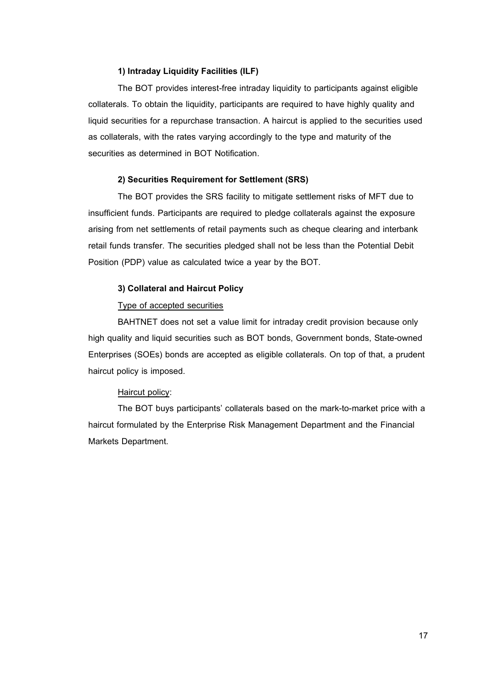#### **1) Intraday Liquidity Facilities (ILF)**

The BOT provides interest-free intraday liquidity to participants against eligible collaterals. To obtain the liquidity, participants are required to have highly quality and liquid securities for a repurchase transaction. A haircut is applied to the securities used as collaterals, with the rates varying accordingly to the type and maturity of the securities as determined in BOT Notification.

#### **2) Securities Requirement for Settlement (SRS)**

The BOT provides the SRS facility to mitigate settlement risks of MFT due to insufficient funds. Participants are required to pledge collaterals against the exposure arising from net settlements of retail payments such as cheque clearing and interbank retail funds transfer. The securities pledged shall not be less than the Potential Debit Position (PDP) value as calculated twice a year by the BOT.

#### **3) Collateral and Haircut Policy**

## Type of accepted securities

BAHTNET does not set a value limit for intraday credit provision because only high quality and liquid securities such as BOT bonds, Government bonds, State-owned Enterprises (SOEs) bonds are accepted as eligible collaterals. On top of that, a prudent haircut policy is imposed.

#### Haircut policy:

<span id="page-16-0"></span>The BOT buys participants' collaterals based on the mark-to-market price with a haircut formulated by the Enterprise Risk Management Department and the Financial Markets Department.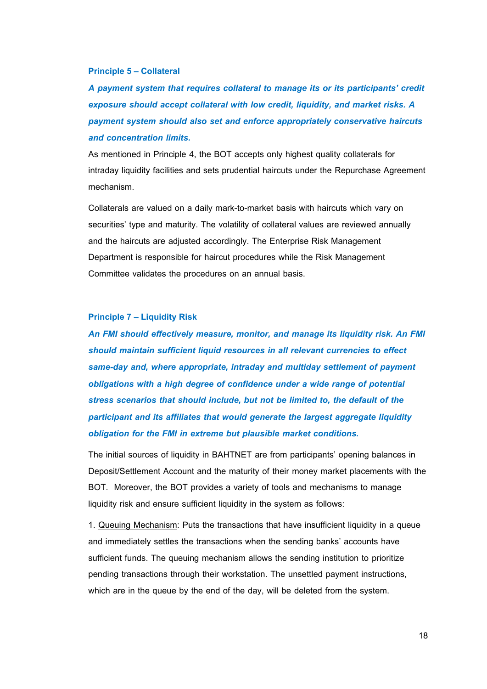#### **Principle 5 – Collateral**

*A payment system that requires collateral to manage its or its participants' credit exposure should accept collateral with low credit, liquidity, and market risks. A payment system should also set and enforce appropriately conservative haircuts and concentration limits.*

As mentioned in Principle 4, the BOT accepts only highest quality collaterals for intraday liquidity facilities and sets prudential haircuts under the Repurchase Agreement mechanism.

Collaterals are valued on a daily mark-to-market basis with haircuts which vary on securities' type and maturity. The volatility of collateral values are reviewed annually and the haircuts are adjusted accordingly. The Enterprise Risk Management Department is responsible for haircut procedures while the Risk Management Committee validates the procedures on an annual basis.

# <span id="page-17-0"></span>**Principle 7 –Liquidity Risk**

*An FMI should effectively measure, monitor, and manage its liquidity risk. An FMI should maintain sufficient liquid resources in all relevant currencies to effect same-day and, where appropriate, intraday and multiday settlement of payment obligations with a high degree of confidence under a wide range of potential stress scenarios that should include, but not be limited to, the default of the participant and its affiliates that would generate the largest aggregate liquidity obligation for the FMI in extreme but plausible market conditions.*

The initial sources of liquidity in BAHTNET are from participants' opening balances in Deposit/Settlement Account and the maturity of their money market placements with the BOT. Moreover, the BOT provides a variety of tools and mechanisms to manage liquidity risk and ensure sufficient liquidity in the system as follows:

1. Queuing Mechanism: Puts the transactions that have insufficient liquidity in a queue and immediately settles the transactions when the sending banks' accounts have sufficient funds. The queuing mechanism allows the sending institution to prioritize pending transactions through their workstation. The unsettled payment instructions, which are in the queue by the end of the day, will be deleted from the system.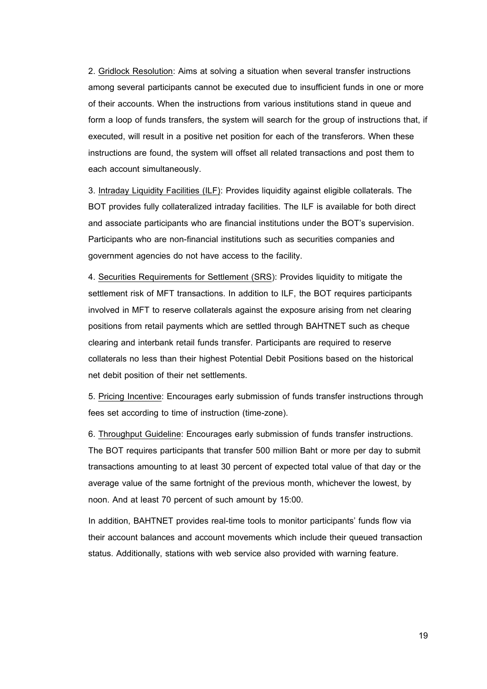2. Gridlock Resolution: Aims at solving a situation when several transfer instructions among several participants cannot be executed due to insufficient funds in one or more of their accounts. When the instructions from various institutions stand in queue and form a loop of funds transfers, the system will search for the group of instructions that, if executed, will result in a positive net position for each of the transferors. When these instructions are found, the system will offset all related transactions and post them to each account simultaneously.

3. Intraday Liquidity Facilities (ILF): Provides liquidity against eligible collaterals. The BOT provides fully collateralized intraday facilities. The ILF is available for both direct and associate participants who are financial institutions under the BOT's supervision. Participants who are non-financial institutions such as securities companies and government agencies do not have access to the facility.

4. Securities Requirements for Settlement (SRS): Provides liquidity to mitigate the settlement risk of MFT transactions. In addition to ILF, the BOT requires participants involved in MFT to reserve collaterals against the exposure arising from net clearing positions from retail payments which are settled through BAHTNET such as cheque clearing and interbank retail funds transfer. Participants are required to reserve collaterals no less than their highest Potential Debit Positions based on the historical net debit position of their net settlements.

5. Pricing Incentive: Encourages early submission of funds transfer instructions through fees set according to time of instruction (time-zone).

6. Throughput Guideline: Encourages early submission of funds transfer instructions. The BOT requires participants that transfer 500 million Baht or more per day to submit transactions amounting to at least 30 percent of expected total value of that day or the average value of the same fortnight of the previous month, whichever the lowest, by noon. And at least 70 percent of such amount by 15:00.

<span id="page-18-0"></span>In addition, BAHTNET provides real-time tools to monitor participants' funds flow via their account balances and account movements which include their queued transaction status. Additionally, stations with web service also provided with warning feature.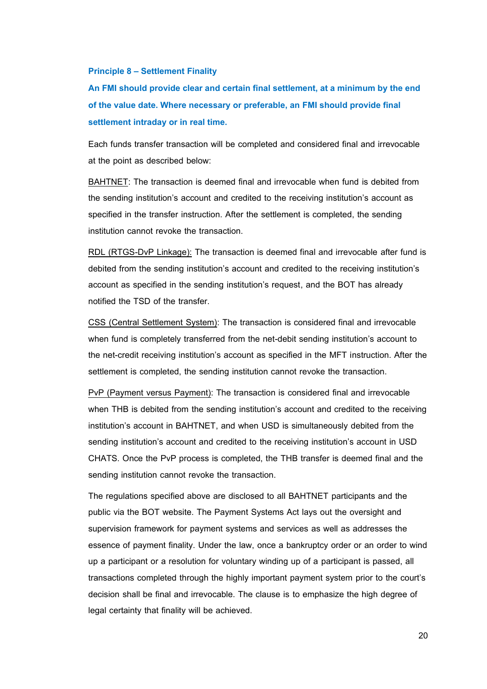#### **Principle 8 – Settlement Finality**

**An FMI should provide clear and certain final settlement, at a minimum by the end of the value date. Where necessary or preferable, an FMI should provide final settlement intraday or in real time.**

Each funds transfer transaction will be completed and considered final and irrevocable at the point as described below:

BAHTNET: The transaction is deemed final and irrevocable when fund is debited from the sending institution's account and credited to the receiving institution's account as specified in the transfer instruction. After the settlement is completed, the sending institution cannot revoke the transaction.

RDL (RTGS-DvP Linkage): The transaction is deemed final and irrevocable after fund is debited from the sending institution's account and credited to the receiving institution's account as specified in the sending institution's request, and the BOT has already notified the TSD of the transfer.

CSS (Central Settlement System): The transaction is considered final and irrevocable when fund is completely transferred from the net-debit sending institution's account to the net-credit receiving institution's account as specified in the MFT instruction. After the settlement is completed, the sending institution cannot revoke the transaction.

PvP (Payment versus Payment): The transaction is considered final and irrevocable when THB is debited from the sending institution's account and credited to the receiving institution's account in BAHTNET, and when USD is simultaneously debited from the sending institution's account and credited to the receiving institution's account in USD CHATS. Once the PvP process is completed, the THB transfer is deemed final and the sending institution cannot revoke the transaction.

The regulations specified above are disclosed to all BAHTNET participants and the public via the BOT website. The Payment Systems Act lays out the oversight and supervision framework for payment systems and services as well as addresses the essence of payment finality. Under the law, once a bankruptcy order or an order to wind up a participant or a resolution for voluntary winding up of a participant is passed, all transactions completed through the highly important payment system prior to the court's decision shall be final and irrevocable. The clause is to emphasize the high degree of legal certainty that finality will be achieved.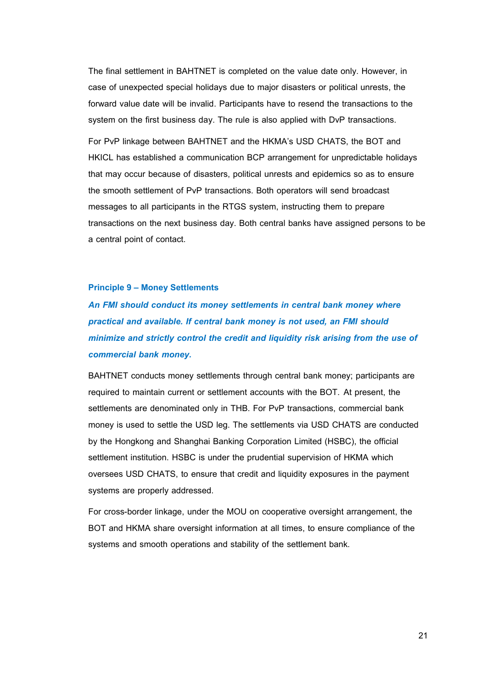The final settlement in BAHTNET is completed on the value date only. However, in case of unexpected special holidays due to major disasters or political unrests, the forward value date will be invalid. Participants have to resend the transactions to the system on the first business day. The rule is also applied with DvP transactions.

For PvP linkage between BAHTNET and the HKMA's USD CHATS, the BOT and HKICL has established a communication BCP arrangement for unpredictable holidays that may occur because of disasters, political unrests and epidemics so as to ensure the smooth settlement of PvP transactions. Both operators will send broadcast messages to all participants in the RTGS system, instructing them to prepare transactions on the next business day. Both central banks have assigned persons to be a central point of contact.

#### <span id="page-20-0"></span>**Principle 9 – Money Settlements**

*An FMI should conduct its money settlements in central bank money where practical and available. If central bank money is not used, an FMI should minimize and strictly control the credit and liquidity risk arising from the use of commercial bank money.*

BAHTNET conducts money settlements through central bank money; participants are required to maintain current or settlement accounts with the BOT. At present, the settlements are denominated only in THB. For PvP transactions, commercial bank money is used to settle the USD leg. The settlements via USD CHATS are conducted by the Hongkong and Shanghai Banking Corporation Limited (HSBC), the official settlement institution. HSBC is under the prudential supervision of HKMA which oversees USD CHATS, to ensure that credit and liquidity exposures in the payment systems are properly addressed.

For cross-border linkage, under the MOU on cooperative oversight arrangement, the BOT and HKMA share oversight information at all times, to ensure compliance of the systems and smooth operations and stability of the settlement bank.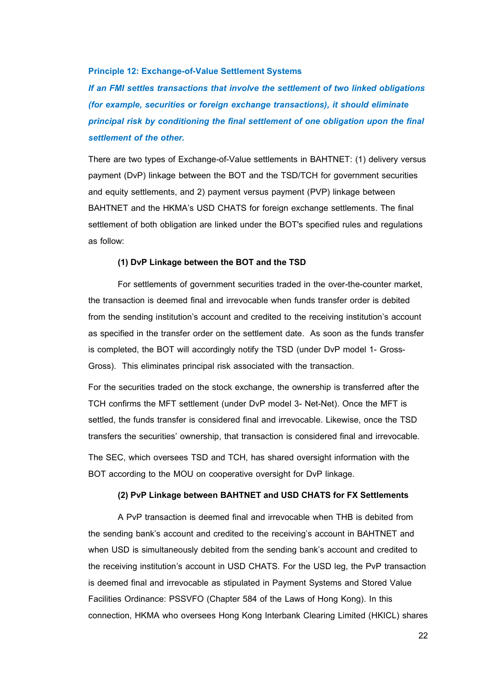#### <span id="page-21-0"></span>**Principle 12: Exchange-of-Value Settlement Systems**

*If an FMI settles transactions that involve the settlement of two linked obligations (for example, securities or foreign exchange transactions), it should eliminate principal risk by conditioning the final settlement of one obligation upon the final settlement of the other.*

There are two types of Exchange-of-Value settlements in BAHTNET: (1) delivery versus payment (DvP) linkage between the BOT and the TSD/TCH for government securities and equity settlements, and 2) payment versus payment (PVP) linkage between BAHTNET and the HKMA's USD CHATS for foreign exchange settlements. The final settlement of both obligation are linked under the BOT's specified rules and regulations as follow:

#### **(1) DvP Linkage between the BOT and the TSD**

For settlements of government securities traded in the over-the-counter market, the transaction is deemed final and irrevocable when funds transfer order is debited from the sending institution's account and credited to the receiving institution's account as specified in the transfer order on the settlement date. As soon as the funds transfer is completed, the BOT will accordingly notify the TSD (under DvP model 1- Gross-Gross). This eliminates principal risk associated with the transaction.

For the securities traded on the stock exchange, the ownership is transferred after the TCH confirms the MFT settlement (under DvP model 3- Net-Net). Once the MFT is settled, the funds transfer is considered final and irrevocable. Likewise, once the TSD transfers the securities' ownership, that transaction is considered final and irrevocable.

The SEC, which oversees TSD and TCH, has shared oversight information with the BOT according to the MOU on cooperative oversight for DvP linkage.

#### **(2) PvP Linkage between BAHTNET and USD CHATS for FX Settlements**

A PvP transaction is deemed final and irrevocable when THB is debited from the sending bank's account and credited to the receiving's account in BAHTNET and when USD is simultaneously debited from the sending bank's account and credited to the receiving institution's account in USD CHATS. For the USD leg, the PvP transaction is deemed final and irrevocable as stipulated in Payment Systems and Stored Value Facilities Ordinance: PSSVFO (Chapter 584 of the Laws of Hong Kong). In this connection, HKMA who oversees Hong Kong Interbank Clearing Limited (HKICL) shares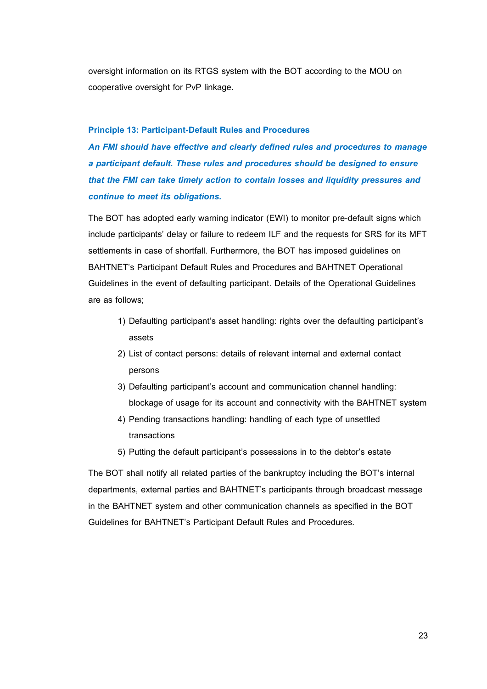oversight information on its RTGS system with the BOT according to the MOU on cooperative oversight for PvP linkage.

#### <span id="page-22-0"></span>**Principle 13: Participant-Default Rules and Procedures**

*An FMI should have effective and clearly defined rules and procedures to manage a participant default. These rules and procedures should be designed to ensure that the FMI can take timely action to contain losses and liquidity pressures and continue to meet its obligations.*

The BOT has adopted early warning indicator (EWI) to monitor pre-default signs which include participants' delay or failure to redeem ILF and the requests for SRS for its MFT settlements in case of shortfall. Furthermore, the BOT has imposed guidelines on BAHTNET's Participant Default Rules and Procedures and BAHTNET Operational Guidelines in the event of defaulting participant. Details of the Operational Guidelines are as follows;

- 1) Defaulting participant's asset handling: rights over the defaulting participant's assets
- 2) List of contact persons: details of relevant internal and external contact persons
- 3) Defaulting participant's account and communication channel handling: blockage of usage for its account and connectivity with the BAHTNET system
- 4) Pending transactions handling: handling of each type of unsettled transactions
- 5) Putting the default participant's possessions in to the debtor's estate

The BOT shall notify all related parties of the bankruptcy including the BOT's internal departments, external parties and BAHTNET's participants through broadcast message in the BAHTNET system and other communication channels as specified in the BOT Guidelines for BAHTNET's Participant Default Rules and Procedures.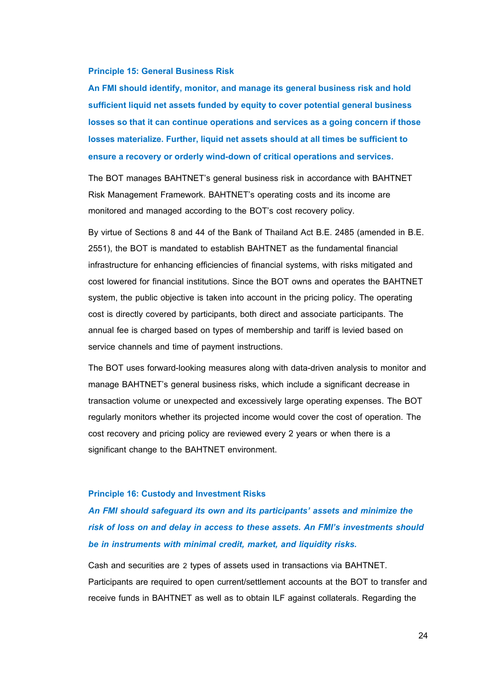#### <span id="page-23-0"></span>**Principle 15: General Business Risk**

**An FMI should identify, monitor, and manage its general business risk and hold sufficient liquid net assets funded by equity to cover potential general business losses so that it can continue operations and services as a going concern if those losses materialize. Further, liquid net assets should at all times be sufficient to ensure a recovery or orderly wind-down of critical operations and services.**

The BOT manages BAHTNET's general business risk in accordance with BAHTNET Risk Management Framework. BAHTNET's operating costs and its income are monitored and managed according to the BOT's cost recovery policy.

By virtue of Sections 8 and 44 of the Bank of Thailand Act B.E. 2485 (amended in B.E. 2551), the BOT is mandated to establish BAHTNET as the fundamental financial infrastructure for enhancing efficiencies of financial systems, with risks mitigated and cost lowered for financial institutions. Since the BOT owns and operates the BAHTNET system, the public objective is taken into account in the pricing policy. The operating cost is directly covered by participants, both direct and associate participants. The annual fee is charged based on types of membership and tariff is levied based on service channels and time of payment instructions.

The BOT uses forward-looking measures along with data-driven analysis to monitor and manage BAHTNET's general business risks, which include a significant decrease in transaction volume or unexpected and excessively large operating expenses. The BOT regularly monitors whether its projected income would cover the cost of operation. The cost recovery and pricing policy are reviewed every 2 years or when there is a significant change to the BAHTNET environment.

#### <span id="page-23-1"></span>**Principle 16: Custody and Investment Risks**

*An FMI should safeguard its own and its participants' assets and minimize the risk of loss on and delay in access to these assets. An FMI's investments should be in instruments with minimal credit, market, and liquidity risks.* 

Cash and securities are 2 types of assets used in transactions via BAHTNET. Participants are required to open current/settlement accounts at the BOT to transfer and receive funds in BAHTNET as well as to obtain ILF against collaterals. Regarding the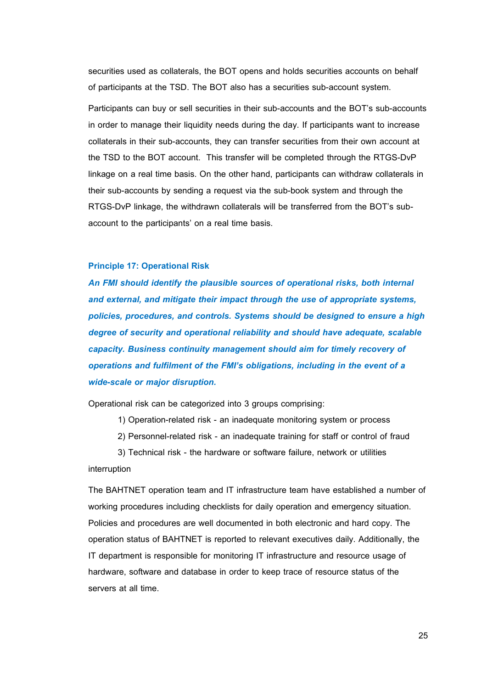securities used as collaterals, the BOT opens and holds securities accounts on behalf of participants at the TSD. The BOT also has a securities sub-account system.

Participants can buy or sell securities in their sub-accounts and the BOT's sub-accounts in order to manage their liquidity needs during the day. If participants want to increase collaterals in their sub-accounts, they can transfer securities from their own account at the TSD to the BOT account. This transfer will be completed through the RTGS-DvP linkage on a real time basis. On the other hand, participants can withdraw collaterals in their sub-accounts by sending a request via the sub-book system and through the RTGS-DvP linkage, the withdrawn collaterals will be transferred from the BOT's subaccount to the participants' on a real time basis.

## <span id="page-24-0"></span>**Principle 17: Operational Risk**

*An FMI should identify the plausible sources of operational risks, both internal and external, and mitigate their impact through the use of appropriate systems, policies, procedures, and controls. Systems should be designed to ensure a high degree of security and operational reliability and should have adequate, scalable capacity. Business continuity management should aim for timely recovery of operations and fulfilment of the FMI's obligations, including in the event of a wide-scale or major disruption.*

Operational risk can be categorized into 3 groups comprising:

1) Operation-related risk - an inadequate monitoring system or process

2) Personnel-related risk - an inadequate training for staff or control of fraud

3) Technical risk - the hardware or software failure, network or utilities interruption

The BAHTNET operation team and IT infrastructure team have established a number of working procedures including checklists for daily operation and emergency situation. Policies and procedures are well documented in both electronic and hard copy. The operation status of BAHTNET is reported to relevant executives daily. Additionally, the IT department is responsible for monitoring IT infrastructure and resource usage of hardware, software and database in order to keep trace of resource status of the servers at all time.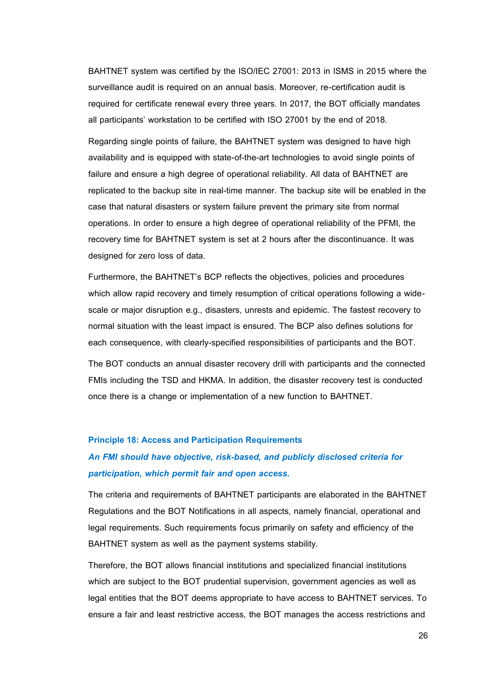BAHTNET system was certified by the ISO/IEC 27001: 2013 in ISMS in 2015 where the surveillance audit is required on an annual basis. Moreover, re-certification audit is required for certificate renewal every three years. In 2017, the BOT officially mandates all participants' workstation to be certified with ISO 27001 by the end of 2018.

Regarding single points of failure, the BAHTNET system was designed to have high availability and is equipped with state-of-the-art technologies to avoid single points of failure and ensure a high degree of operational reliability. All data of BAHTNET are replicated to the backup site in real-time manner. The backup site will be enabled in the case that natural disasters or system failure prevent the primary site from normal operations. In order to ensure a high degree of operational reliability of the PFMI, the recovery time for BAHTNET system is set at 2 hours after the discontinuance. It was designed for zero loss of data.

Furthermore, the BAHTNET's BCP reflects the objectives, policies and procedures which allow rapid recovery and timely resumption of critical operations following a widescale or major disruption e.g., disasters, unrests and epidemic. The fastest recovery to normal situation with the least impact is ensured. The BCP also defines solutions for each consequence, with clearly-specified responsibilities of participants and the BOT.

The BOT conducts an annual disaster recovery drill with participants and the connected FMIs including the TSD and HKMA. In addition, the disaster recovery test is conducted once there is a change or implementation of a new function to BAHTNET.

#### <span id="page-25-0"></span>**Principle 18: Access and Participation Requirements**

# *An FMI should have objective, risk-based, and publicly disclosed criteria for participation, which permit fair and open access.*

The criteria and requirements of BAHTNET participants are elaborated in the BAHTNET Regulations and the BOT Notifications in all aspects, namely financial, operational and legal requirements. Such requirements focus primarily on safety and efficiency of the BAHTNET system as well as the payment systems stability.

Therefore, the BOT allows financial institutions and specialized financial institutions which are subject to the BOT prudential supervision, government agencies as well as legal entities that the BOT deems appropriate to have access to BAHTNET services. To ensure a fair and least restrictive access, the BOT manages the access restrictions and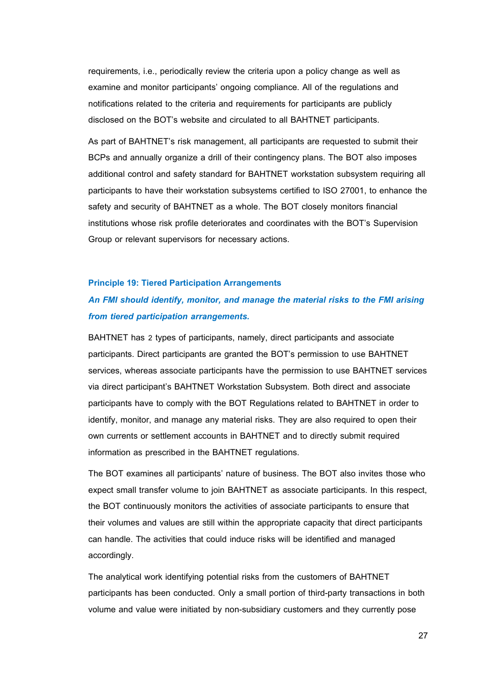requirements, i.e., periodically review the criteria upon a policy change as well as examine and monitor participants' ongoing compliance. All of the regulations and notifications related to the criteria and requirements for participants are publicly disclosed on the BOT's website and circulated to all BAHTNET participants.

As part of BAHTNET's risk management, all participants are requested to submit their BCPs and annually organize a drill of their contingency plans. The BOT also imposes additional control and safety standard for BAHTNET workstation subsystem requiring all participants to have their workstation subsystems certified to ISO 27001, to enhance the safety and security of BAHTNET as a whole. The BOT closely monitors financial institutions whose risk profile deteriorates and coordinates with the BOT's Supervision Group or relevant supervisors for necessary actions.

#### <span id="page-26-0"></span>**Principle 19: Tiered Participation Arrangements**

# *An FMI should identify, monitor, and manage the material risks to the FMI arising from tiered participation arrangements.*

BAHTNET has 2 types of participants, namely, direct participants and associate participants. Direct participants are granted the BOT's permission to use BAHTNET services, whereas associate participants have the permission to use BAHTNET services via direct participant's BAHTNET Workstation Subsystem. Both direct and associate participants have to comply with the BOT Regulations related to BAHTNET in order to identify, monitor, and manage any material risks. They are also required to open their own currents or settlement accounts in BAHTNET and to directly submit required information as prescribed in the BAHTNET regulations.

The BOT examines all participants' nature of business. The BOT also invites those who expect small transfer volume to join BAHTNET as associate participants. In this respect, the BOT continuously monitors the activities of associate participants to ensure that their volumes and values are still within the appropriate capacity that direct participants can handle. The activities that could induce risks will be identified and managed accordingly.

The analytical work identifying potential risks from the customers of BAHTNET participants has been conducted. Only a small portion of third-party transactions in both volume and value were initiated by non-subsidiary customers and they currently pose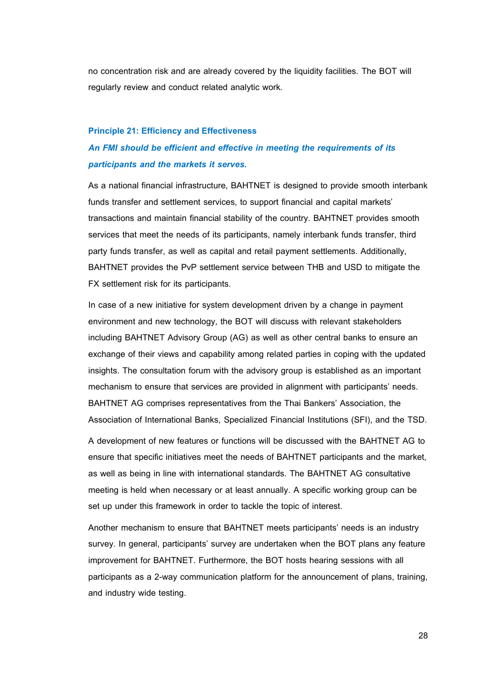no concentration risk and are already covered by the liquidity facilities. The BOT will regularly review and conduct related analytic work.

#### <span id="page-27-0"></span>**Principle 21: Efficiency and Effectiveness**

# *An FMI should be efficient and effective in meeting the requirements of its participants and the markets it serves.*

As a national financial infrastructure, BAHTNET is designed to provide smooth interbank funds transfer and settlement services, to support financial and capital markets' transactions and maintain financial stability of the country. BAHTNET provides smooth services that meet the needs of its participants, namely interbank funds transfer, third party funds transfer, as well as capital and retail payment settlements. Additionally, BAHTNET provides the PvP settlement service between THB and USD to mitigate the FX settlement risk for its participants.

In case of a new initiative for system development driven by a change in payment environment and new technology, the BOT will discuss with relevant stakeholders including BAHTNET Advisory Group (AG) as well as other central banks to ensure an exchange of their views and capability among related parties in coping with the updated insights. The consultation forum with the advisory group is established as an important mechanism to ensure that services are provided in alignment with participants' needs. BAHTNET AG comprises representatives from the Thai Bankers' Association, the Association of International Banks, Specialized Financial Institutions (SFI), and the TSD.

A development of new features or functions will be discussed with the BAHTNET AG to ensure that specific initiatives meet the needs of BAHTNET participants and the market, as well as being in line with international standards. The BAHTNET AG consultative meeting is held when necessary or at least annually. A specific working group can be set up under this framework in order to tackle the topic of interest.

Another mechanism to ensure that BAHTNET meets participants' needs is an industry survey. In general, participants' survey are undertaken when the BOT plans any feature improvement for BAHTNET. Furthermore, the BOT hosts hearing sessions with all participants as a 2-way communication platform for the announcement of plans, training, and industry wide testing.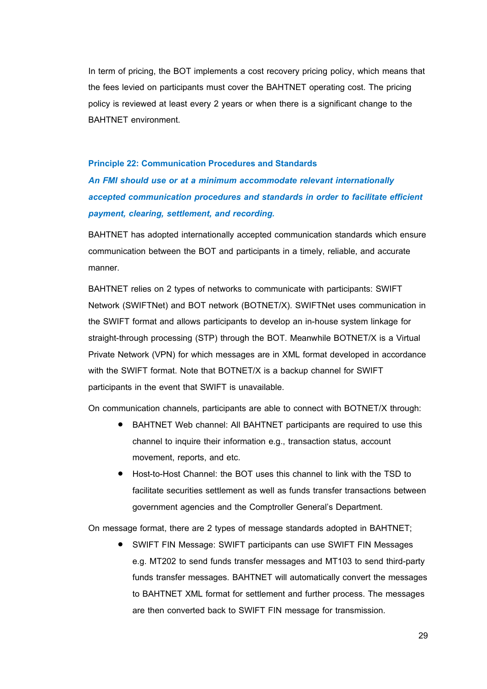In term of pricing, the BOT implements a cost recovery pricing policy, which means that the fees levied on participants must cover the BAHTNET operating cost. The pricing policy is reviewed at least every 2 years or when there is a significant change to the BAHTNET environment.

#### <span id="page-28-0"></span>**Principle 22: Communication Procedures and Standards**

*An FMI should use or at a minimum accommodate relevant internationally accepted communication procedures and standards in order to facilitate efficient payment, clearing, settlement, and recording.*

BAHTNET has adopted internationally accepted communication standards which ensure communication between the BOT and participants in a timely, reliable, and accurate manner.

BAHTNET relies on 2 types of networks to communicate with participants: SWIFT Network (SWIFTNet) and BOT network (BOTNET/X). SWIFTNet uses communication in the SWIFT format and allows participants to develop an in-house system linkage for straight-through processing (STP) through the BOT. Meanwhile BOTNET/X is a Virtual Private Network (VPN) for which messages are in XML format developed in accordance with the SWIFT format. Note that BOTNET/X is a backup channel for SWIFT participants in the event that SWIFT is unavailable.

On communication channels, participants are able to connect with BOTNET/X through:

- BAHTNET Web channel: All BAHTNET participants are required to use this channel to inquire their information e.g., transaction status, account movement, reports, and etc.
- Host-to-Host Channel: the BOT uses this channel to link with the TSD to facilitate securities settlement as well as funds transfer transactions between government agencies and the Comptroller General's Department.

On message format, there are 2 types of message standards adopted in BAHTNET;

 SWIFT FIN Message: SWIFT participants can use SWIFT FIN Messages e.g. MT202 to send funds transfer messages and MT103 to send third-party funds transfer messages. BAHTNET will automatically convert the messages to BAHTNET XML format for settlement and further process. The messages are then converted back to SWIFT FIN message for transmission.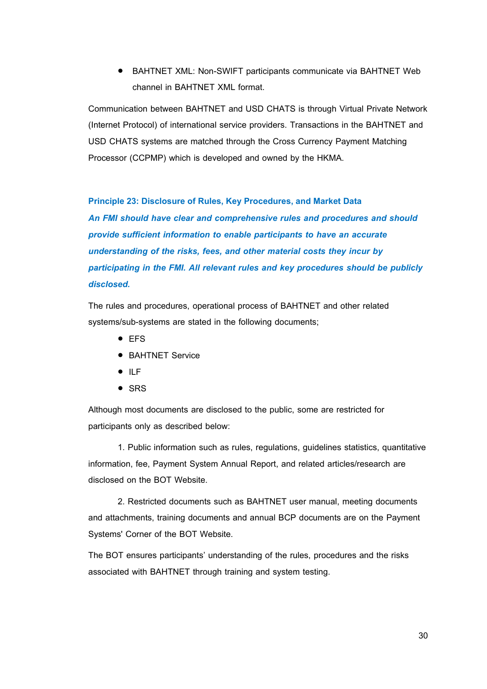BAHTNET XML: Non-SWIFT participants communicate via BAHTNET Web channel in BAHTNET XML format.

Communication between BAHTNET and USD CHATS is through Virtual Private Network (Internet Protocol) of international service providers. Transactions in the BAHTNET and USD CHATS systems are matched through the Cross Currency Payment Matching Processor (CCPMP) which is developed and owned by the HKMA.

#### <span id="page-29-0"></span>**Principle 23: Disclosure of Rules, Key Procedures, and Market Data**

*An FMI should have clear and comprehensive rules and procedures and should provide sufficient information to enable participants to have an accurate understanding of the risks, fees, and other material costs they incur by participating in the FMI. All relevant rules and key procedures should be publicly disclosed.*

The rules and procedures, operational process of BAHTNET and other related systems/sub-systems are stated in the following documents;

- EFS
- **BAHTNET Service**
- $\bullet$  ILF
- $\bullet$  SRS

Although most documents are disclosed to the public, some are restricted for participants only as described below:

1. Public information such as rules, regulations, guidelines statistics, quantitative information, fee, Payment System Annual Report, and related articles/research are disclosed on the BOT Website.

2. Restricted documents such as BAHTNET user manual, meeting documents and attachments, training documents and annual BCP documents are on the Payment Systems' Corner of the BOT Website.

<span id="page-29-1"></span>The BOT ensures participants' understanding of the rules, procedures and the risks associated with BAHTNET through training and system testing.